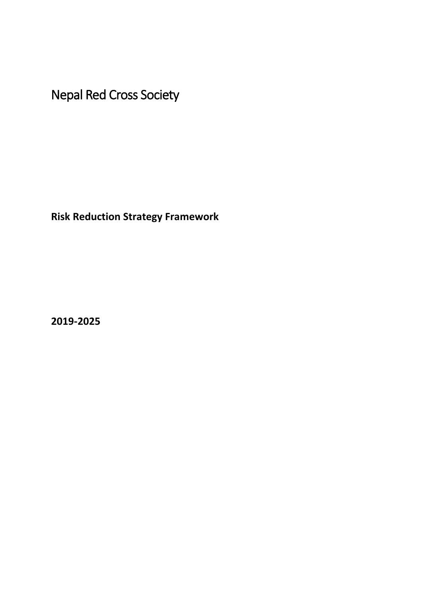<span id="page-0-0"></span>Nepal Red Cross Society

**Risk Reduction Strategy Framework** 

**2019-2025**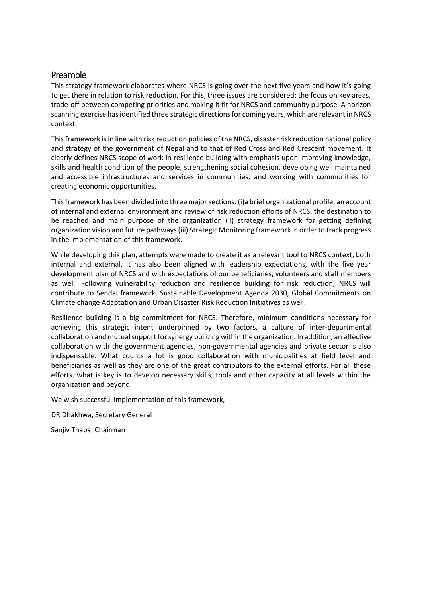## <span id="page-1-0"></span>Preamble

This strategy framework elaborates where NRCS is going over the next five years and how it's going to get there in relation to risk reduction. For this, three issues are considered: the focus on key areas, trade-off between competing priorities and making it fit for NRCS and community purpose. A horizon scanning exercise has identified three strategic directions for coming years, which are relevant in NRCS context.

This framework is in line with risk reduction policies of the NRCS, disaster risk reduction national policy and strategy of the government of Nepal and to that of Red Cross and Red Crescent movement. It clearly defines NRCS scope of work in resilience building with emphasis upon improving knowledge, skills and health condition of the people, strengthening social cohesion, developing well maintained and accessible infrastructures and services in communities, and working with communities for creating economic opportunities.

This framework has been divided into three major sections: (i)a brief organizational profile, an account of internal and external environment and review of risk reduction efforts of NRCS, the destination to be reached and main purpose of the organization (ii) strategy framework for getting defining organization vision and future pathways (iii) Strategic Monitoring framework in order to track progress in the implementation of this framework.

While developing this plan, attempts were made to create it as a relevant tool to NRCS context, both internal and external. It has also been aligned with leadership expectations, with the five year development plan of NRCS and with expectations of our beneficiaries, volunteers and staff members as well. Following vulnerability reduction and resilience building for risk reduction, NRCS will contribute to Sendai framework, Sustainable Development Agenda 2030, Global Commitments on Climate change Adaptation and Urban Disaster Risk Reduction Initiatives as well.

Resilience building is a big commitment for NRCS. Therefore, minimum conditions necessary for achieving this strategic intent underpinned by two factors, a culture of inter-departmental collaboration and mutual support for synergy building within the organization. In addition, an effective collaboration with the government agencies, non-governmental agencies and private sector is also indispensable. What counts a lot is good collaboration with municipalities at field level and beneficiaries as well as they are one of the great contributors to the external efforts. For all these efforts, what is key is to develop necessary skills, tools and other capacity at all levels within the organization and beyond.

We wish successful implementation of this framework,

DR Dhakhwa, Secretary General

Sanjiv Thapa, Chairman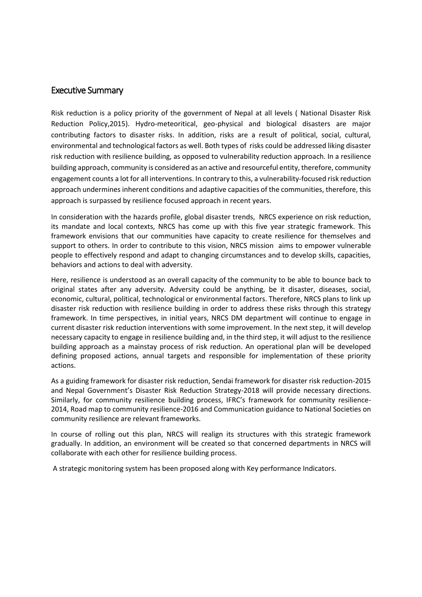## <span id="page-2-0"></span>Executive Summary

Risk reduction is a policy priority of the government of Nepal at all levels ( National Disaster Risk Reduction Policy,2015). Hydro-meteoritical, geo-physical and biological disasters are major contributing factors to disaster risks. In addition, risks are a result of political, social, cultural, environmental and technological factors as well. Both types of risks could be addressed liking disaster risk reduction with resilience building, as opposed to vulnerability reduction approach. In a resilience building approach, community is considered as an active and resourceful entity, therefore, community engagement counts a lot for all interventions. In contrary to this, a vulnerability-focused risk reduction approach undermines inherent conditions and adaptive capacities of the communities, therefore, this approach is surpassed by resilience focused approach in recent years.

In consideration with the hazards profile, global disaster trends, NRCS experience on risk reduction, its mandate and local contexts, NRCS has come up with this five year strategic framework. This framework envisions that our communities have capacity to create resilience for themselves and support to others. In order to contribute to this vision, NRCS mission aims to empower vulnerable people to effectively respond and adapt to changing circumstances and to develop skills, capacities, behaviors and actions to deal with adversity.

Here, resilience is understood as an overall capacity of the community to be able to bounce back to original states after any adversity. Adversity could be anything, be it disaster, diseases, social, economic, cultural, political, technological or environmental factors. Therefore, NRCS plans to link up disaster risk reduction with resilience building in order to address these risks through this strategy framework. In time perspectives, in initial years, NRCS DM department will continue to engage in current disaster risk reduction interventions with some improvement. In the next step, it will develop necessary capacity to engage in resilience building and, in the third step, it will adjust to the resilience building approach as a mainstay process of risk reduction. An operational plan will be developed defining proposed actions, annual targets and responsible for implementation of these priority actions.

As a guiding framework for disaster risk reduction, Sendai framework for disaster risk reduction-2015 and Nepal Government's Disaster Risk Reduction Strategy-2018 will provide necessary directions. Similarly, for community resilience building process, IFRC's framework for community resilience-2014, Road map to community resilience-2016 and Communication guidance to National Societies on community resilience are relevant frameworks.

In course of rolling out this plan, NRCS will realign its structures with this strategic framework gradually. In addition, an environment will be created so that concerned departments in NRCS will collaborate with each other for resilience building process.

A strategic monitoring system has been proposed along with Key performance Indicators.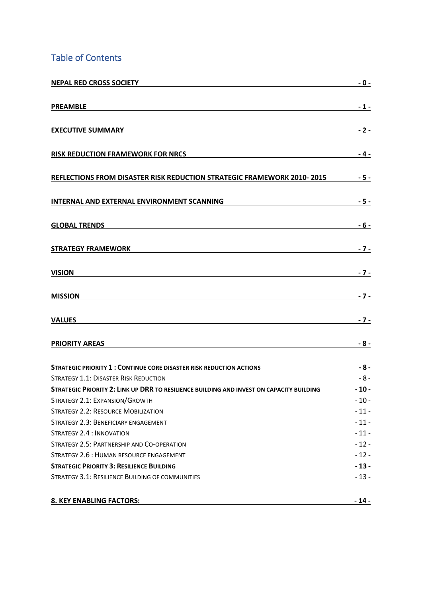# Table of Contents

| <b>NEPAL RED CROSS SOCIETY</b>                                                           | $-0-$            |
|------------------------------------------------------------------------------------------|------------------|
| <b>PREAMBLE</b>                                                                          | $-1-$            |
| <b>EXECUTIVE SUMMARY</b>                                                                 | $-2-$            |
| <b>RISK REDUCTION FRAMEWORK FOR NRCS</b>                                                 | $-4-$            |
| REFLECTIONS FROM DISASTER RISK REDUCTION STRATEGIC FRAMEWORK 2010-2015                   | $-5-$            |
| INTERNAL AND EXTERNAL ENVIRONMENT SCANNING                                               | $-5 -$           |
| <b>GLOBAL TRENDS</b>                                                                     | $-6-$            |
| <b>STRATEGY FRAMEWORK</b>                                                                | $-7-$            |
| <b>VISION</b>                                                                            | $-7 -$           |
| <b>MISSION</b>                                                                           | $-7-$            |
| <b>VALUES</b>                                                                            | $-7-$            |
| <b>PRIORITY AREAS</b>                                                                    | $-8-$            |
| <b>STRATEGIC PRIORITY 1: CONTINUE CORE DISASTER RISK REDUCTION ACTIONS</b>               | $-8-$            |
| <b>STRATEGY 1.1: DISASTER RISK REDUCTION</b>                                             | $-8-$            |
| STRATEGIC PRIORITY 2: LINK UP DRR TO RESILIENCE BUILDING AND INVEST ON CAPACITY BUILDING | $-10-$           |
| STRATEGY 2.1: EXPANSION/GROWTH                                                           | $-10-$           |
| <b>STRATEGY 2.2: RESOURCE MOBILIZATION</b>                                               | $-11-$           |
| STRATEGY 2.3: BENEFICIARY ENGAGEMENT<br><b>STRATEGY 2.4 : INNOVATION</b>                 | $-11-$<br>$-11-$ |
| STRATEGY 2.5: PARTNERSHIP AND CO-OPERATION                                               | $-12-$           |
| STRATEGY 2.6 : HUMAN RESOURCE ENGAGEMENT                                                 | $-12-$           |
| <b>STRATEGIC PRIORITY 3: RESILIENCE BUILDING</b>                                         | $-13-$           |
| STRATEGY 3.1: RESILIENCE BUILDING OF COMMUNITIES                                         | $-13-$           |
| <b>8. KEY ENABLING FACTORS:</b>                                                          | $-14-$           |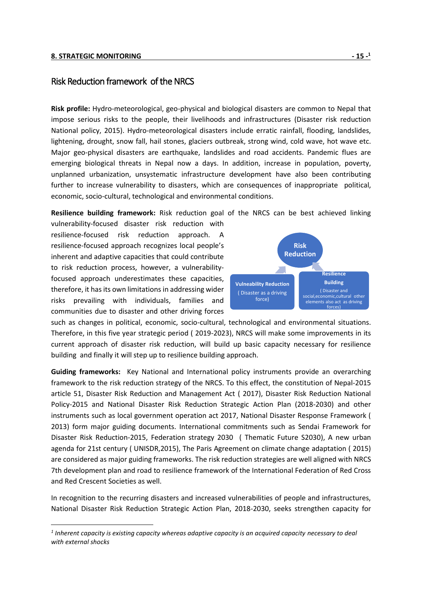#### **[8. STRATEGIC MONITORING](#page-15-0) - 15 -**

## <span id="page-4-0"></span>Risk Reduction framework of the NRCS

**Risk profile:** Hydro-meteorological, geo-physical and biological disasters are common to Nepal that impose serious risks to the people, their livelihoods and infrastructures (Disaster risk reduction National policy, 2015). Hydro-meteorological disasters include erratic rainfall, flooding, landslides, lightening, drought, snow fall, hail stones, glaciers outbreak, strong wind, cold wave, hot wave etc. Major geo-physical disasters are earthquake, landslides and road accidents. Pandemic flues are emerging biological threats in Nepal now a days. In addition, increase in population, poverty, unplanned urbanization, unsystematic infrastructure development have also been contributing further to increase vulnerability to disasters, which are consequences of inappropriate political, economic, socio-cultural, technological and environmental conditions.

**Resilience building framework:** Risk reduction goal of the NRCS can be best achieved linking

vulnerability-focused disaster risk reduction with resilience-focused risk reduction approach. A resilience-focused approach recognizes local people's inherent and adaptive capacities that could contribute to risk reduction process, however, a vulnerabilityfocused approach underestimates these capacities, therefore, it has its own limitations in addressing wider risks prevailing with individuals, families and communities due to disaster and other driving forces



such as changes in political, economic, socio-cultural, technological and environmental situations. Therefore, in this five year strategic period ( 2019-2023), NRCS will make some improvements in its current approach of disaster risk reduction, will build up basic capacity necessary for resilience building and finally it will step up to resilience building approach.

**Guiding frameworks:** Key National and International policy instruments provide an overarching framework to the risk reduction strategy of the NRCS. To this effect, the constitution of Nepal-2015 article 51, Disaster Risk Reduction and Management Act ( 2017), Disaster Risk Reduction National Policy-2015 and National Disaster Risk Reduction Strategic Action Plan (2018-2030) and other instruments such as local government operation act 2017, National Disaster Response Framework ( 2013) form major guiding documents. International commitments such as Sendai Framework for Disaster Risk Reduction-2015, Federation strategy 2030 ( Thematic Future S2030), A new urban agenda for 21st century ( UNISDR,2015), The Paris Agreement on climate change adaptation ( 2015) are considered as major guiding frameworks. The risk reduction strategies are well aligned with NRCS 7th development plan and road to resilience framework of the International Federation of Red Cross and Red Crescent Societies as well.

In recognition to the recurring disasters and increased vulnerabilities of people and infrastructures, National Disaster Risk Reduction Strategic Action Plan, 2018-2030, seeks strengthen capacity for

*<sup>1</sup> Inherent capacity is existing capacity whereas adaptive capacity is an acquired capacity necessary to deal with external shocks*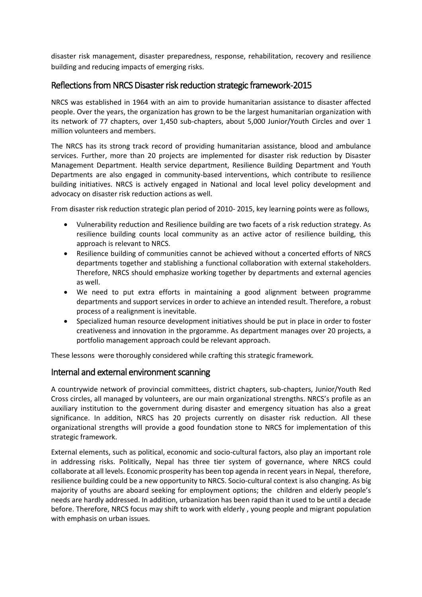disaster risk management, disaster preparedness, response, rehabilitation, recovery and resilience building and reducing impacts of emerging risks.

## <span id="page-5-0"></span>Reflections from NRCS Disaster risk reduction strategic framework -2015

NRCS was established in 1964 with an aim to provide humanitarian assistance to disaster affected people. Over the years, the organization has grown to be the largest humanitarian organization with its network of 77 chapters, over 1,450 sub-chapters, about 5,000 Junior/Youth Circles and over 1 million volunteers and members.

The NRCS has its strong track record of providing humanitarian assistance, blood and ambulance services. Further, more than 20 projects are implemented for disaster risk reduction by Disaster Management Department. Health service department, Resilience Building Department and Youth Departments are also engaged in community-based interventions, which contribute to resilience building initiatives. NRCS is actively engaged in National and local level policy development and advocacy on disaster risk reduction actions as well.

From disaster risk reduction strategic plan period of 2010- 2015, key learning points were as follows,

- Vulnerability reduction and Resilience building are two facets of a risk reduction strategy. As resilience building counts local community as an active actor of resilience building, this approach is relevant to NRCS.
- Resilience building of communities cannot be achieved without a concerted efforts of NRCS departments together and stablishing a functional collaboration with external stakeholders. Therefore, NRCS should emphasize working together by departments and external agencies as well.
- We need to put extra efforts in maintaining a good alignment between programme departments and support services in order to achieve an intended result. Therefore, a robust process of a realignment is inevitable.
- Specialized human resource development initiatives should be put in place in order to foster creativeness and innovation in the prgoramme. As department manages over 20 projects, a portfolio management approach could be relevant approach.

These lessons were thoroughly considered while crafting this strategic framework.

## <span id="page-5-1"></span>Internal and external environment scanning

A countrywide network of provincial committees, district chapters, sub-chapters, Junior/Youth Red Cross circles, all managed by volunteers, are our main organizational strengths. NRCS's profile as an auxiliary institution to the government during disaster and emergency situation has also a great significance. In addition, NRCS has 20 projects currently on disaster risk reduction. All these organizational strengths will provide a good foundation stone to NRCS for implementation of this strategic framework.

<span id="page-5-2"></span>External elements, such as political, economic and socio-cultural factors, also play an important role in addressing risks. Politically, Nepal has three tier system of governance, where NRCS could collaborate at all levels. Economic prosperity has been top agenda in recent years in Nepal, therefore, resilience building could be a new opportunity to NRCS. Socio-cultural context is also changing. As big majority of youths are aboard seeking for employment options; the children and elderly people's needs are hardly addressed. In addition, urbanization has been rapid than it used to be until a decade before. Therefore, NRCS focus may shift to work with elderly , young people and migrant population with emphasis on urban issues.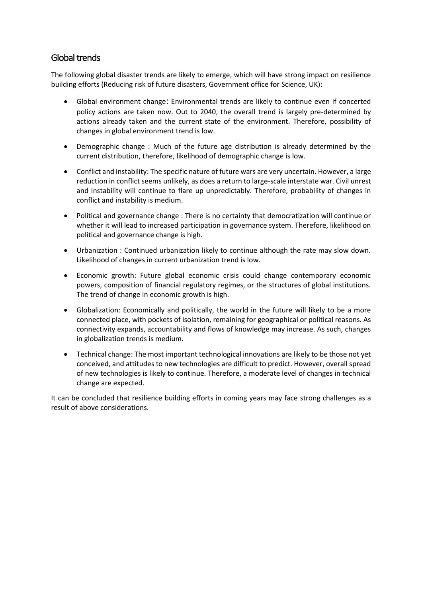## Global trends

The following global disaster trends are likely to emerge, which will have strong impact on resilience building efforts (Reducing risk of future disasters, Government office for Science, UK):

- Global environment change: Environmental trends are likely to continue even if concerted policy actions are taken now. Out to 2040, the overall trend is largely pre-determined by actions already taken and the current state of the environment. Therefore, possibility of changes in global environment trend is low.
- Demographic change : Much of the future age distribution is already determined by the current distribution, therefore, likelihood of demographic change is low.
- Conflict and instability: The specific nature of future wars are very uncertain. However, a large reduction in conflict seems unlikely, as does a return to large-scale interstate war. Civil unrest and instability will continue to flare up unpredictably. Therefore, probability of changes in conflict and instability is medium.
- Political and governance change : There is no certainty that democratization will continue or whether it will lead to increased participation in governance system. Therefore, likelihood on political and governance change is high.
- Urbanization : Continued urbanization likely to continue although the rate may slow down. Likelihood of changes in current urbanization trend is low.
- Economic growth: Future global economic crisis could change contemporary economic powers, composition of financial regulatory regimes, or the structures of global institutions. The trend of change in economic growth is high.
- Globalization: Economically and politically, the world in the future will likely to be a more connected place, with pockets of isolation, remaining for geographical or political reasons. As connectivity expands, accountability and flows of knowledge may increase. As such, changes in globalization trends is medium.
- Technical change: The most important technological innovations are likely to be those not yet conceived, and attitudes to new technologies are difficult to predict. However, overall spread of new technologies is likely to continue. Therefore, a moderate level of changes in technical change are expected.

It can be concluded that resilience building efforts in coming years may face strong challenges as a result of above considerations.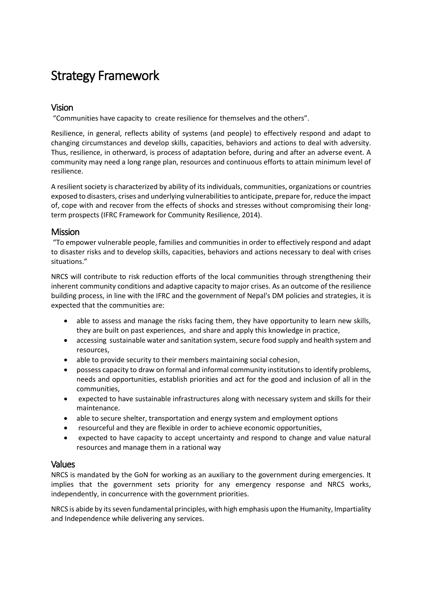# <span id="page-7-0"></span>Strategy Framework

## <span id="page-7-1"></span>Vision

"Communities have capacity to create resilience for themselves and the others".

Resilience, in general, reflects ability of systems (and people) to effectively respond and adapt to changing circumstances and develop skills, capacities, behaviors and actions to deal with adversity. Thus, resilience, in otherward, is process of adaptation before, during and after an adverse event. A community may need a long range plan, resources and continuous efforts to attain minimum level of resilience.

A resilient society is characterized by ability of its individuals, communities, organizations or countries exposed to disasters, crises and underlying vulnerabilities to anticipate, prepare for, reduce the impact of, cope with and recover from the effects of shocks and stresses without compromising their longterm prospects (IFRC Framework for Community Resilience, 2014).

## <span id="page-7-2"></span>**Mission**

"To empower vulnerable people, families and communities in order to effectively respond and adapt to disaster risks and to develop skills, capacities, behaviors and actions necessary to deal with crises situations."

NRCS will contribute to risk reduction efforts of the local communities through strengthening their inherent community conditions and adaptive capacity to major crises. As an outcome of the resilience building process, in line with the IFRC and the government of Nepal's DM policies and strategies, it is expected that the communities are:

- able to assess and manage the risks facing them, they have opportunity to learn new skills, they are built on past experiences, and share and apply this knowledge in practice,
- accessing sustainable water and sanitation system, secure food supply and health system and resources,
- able to provide security to their members maintaining social cohesion,
- possess capacity to draw on formal and informal community institutions to identify problems, needs and opportunities, establish priorities and act for the good and inclusion of all in the communities,
- expected to have sustainable infrastructures along with necessary system and skills for their maintenance.
- able to secure shelter, transportation and energy system and employment options
- resourceful and they are flexible in order to achieve economic opportunities,
- expected to have capacity to accept uncertainty and respond to change and value natural resources and manage them in a rational way

#### <span id="page-7-3"></span>Values

NRCS is mandated by the GoN for working as an auxiliary to the government during emergencies. It implies that the government sets priority for any emergency response and NRCS works, independently, in concurrence with the government priorities.

NRCS is abide by its seven fundamental principles, with high emphasis upon the Humanity, Impartiality and Independence while delivering any services.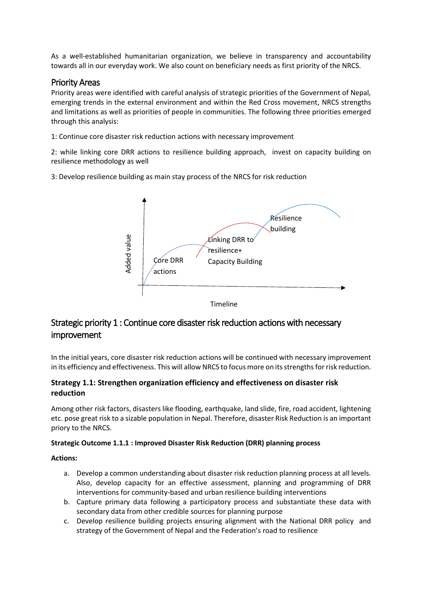As a well-established humanitarian organization, we believe in transparency and accountability towards all in our everyday work. We also count on beneficiary needs as first priority of the NRCS.

## <span id="page-8-0"></span>Priority Areas

Priority areas were identified with careful analysis of strategic priorities of the Government of Nepal, emerging trends in the external environment and within the Red Cross movement, NRCS strengths and limitations as well as priorities of people in communities. The following three priorities emerged through this analysis:

1: Continue core disaster risk reduction actions with necessary improvement

2: while linking core DRR actions to resilience building approach, invest on capacity building on resilience methodology as well

3: Develop resilience building as main stay process of the NRCS for risk reduction



# <span id="page-8-1"></span>Strategic priority 1 : Continue core disaster risk reduction actions with necessary improvement

In the initial years, core disaster risk reduction actions will be continued with necessary improvement in its efficiency and effectiveness. This will allow NRCS to focus more on its strengths for risk reduction.

## <span id="page-8-2"></span>**Strategy 1.1: Strengthen organization efficiency and effectiveness on disaster risk reduction**

Among other risk factors, disasters like flooding, earthquake, land slide, fire, road accident, lightening etc. pose great risk to a sizable population in Nepal. Therefore, disaster Risk Reduction is an important priory to the NRCS.

#### **Strategic Outcome 1.1.1 : Improved Disaster Risk Reduction (DRR) planning process**

**Actions:**

- a. Develop a common understanding about disaster risk reduction planning process at all levels. Also, develop capacity for an effective assessment, planning and programming of DRR interventions for community-based and urban resilience building interventions
- b. Capture primary data following a participatory process and substantiate these data with secondary data from other credible sources for planning purpose
- c. Develop resilience building projects ensuring alignment with the National DRR policy and strategy of the Government of Nepal and the Federation's road to resilience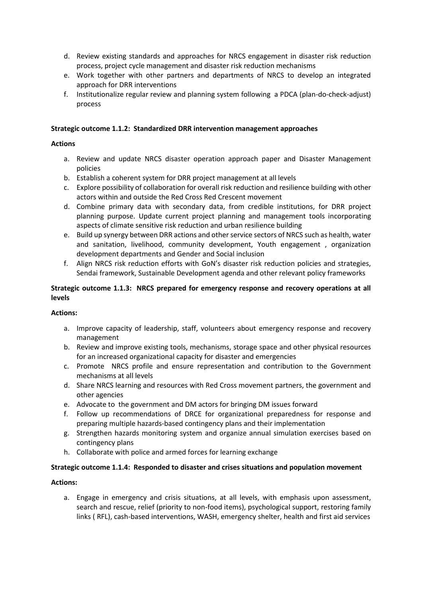- d. Review existing standards and approaches for NRCS engagement in disaster risk reduction process, project cycle management and disaster risk reduction mechanisms
- e. Work together with other partners and departments of NRCS to develop an integrated approach for DRR interventions
- f. Institutionalize regular review and planning system following a PDCA (plan-do-check-adjust) process

#### **Strategic outcome 1.1.2: Standardized DRR intervention management approaches**

#### **Actions**

- a. Review and update NRCS disaster operation approach paper and Disaster Management policies
- b. Establish a coherent system for DRR project management at all levels
- c. Explore possibility of collaboration for overall risk reduction and resilience building with other actors within and outside the Red Cross Red Crescent movement
- d. Combine primary data with secondary data, from credible institutions, for DRR project planning purpose. Update current project planning and management tools incorporating aspects of climate sensitive risk reduction and urban resilience building
- e. Build up synergy between DRR actions and other service sectors of NRCS such as health, water and sanitation, livelihood, community development, Youth engagement , organization development departments and Gender and Social inclusion
- f. Align NRCS risk reduction efforts with GoN's disaster risk reduction policies and strategies, Sendai framework, Sustainable Development agenda and other relevant policy frameworks

#### **Strategic outcome 1.1.3: NRCS prepared for emergency response and recovery operations at all levels**

#### **Actions:**

- a. Improve capacity of leadership, staff, volunteers about emergency response and recovery management
- b. Review and improve existing tools, mechanisms, storage space and other physical resources for an increased organizational capacity for disaster and emergencies
- c. Promote NRCS profile and ensure representation and contribution to the Government mechanisms at all levels
- d. Share NRCS learning and resources with Red Cross movement partners, the government and other agencies
- e. Advocate to the government and DM actors for bringing DM issues forward
- f. Follow up recommendations of DRCE for organizational preparedness for response and preparing multiple hazards-based contingency plans and their implementation
- g. Strengthen hazards monitoring system and organize annual simulation exercises based on contingency plans
- h. Collaborate with police and armed forces for learning exchange

#### **Strategic outcome 1.1.4: Responded to disaster and crises situations and population movement**

#### **Actions:**

a. Engage in emergency and crisis situations, at all levels, with emphasis upon assessment, search and rescue, relief (priority to non-food items), psychological support, restoring family links ( RFL), cash-based interventions, WASH, emergency shelter, health and first aid services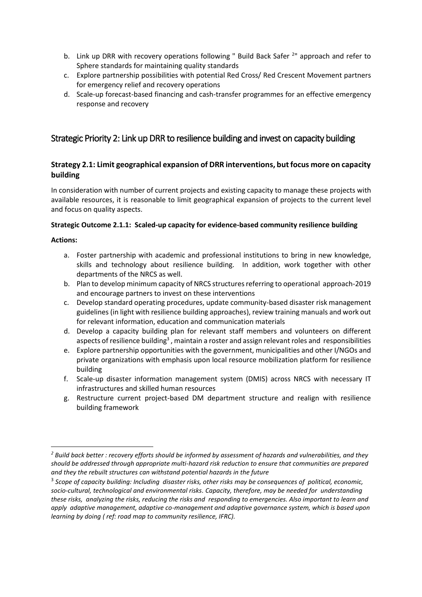- b. Link up DRR with recovery operations following " Build Back Safer <sup>2</sup>" approach and refer to Sphere standards for maintaining quality standards
- c. Explore partnership possibilities with potential Red Cross/ Red Crescent Movement partners for emergency relief and recovery operations
- d. Scale-up forecast-based financing and cash-transfer programmes for an effective emergency response and recovery

## <span id="page-10-0"></span>Strategic Priority 2: Link up DRR to resilience building and invest on capacity building

## <span id="page-10-1"></span>**Strategy 2.1: Limit geographical expansion of DRR interventions, but focus more on capacity building**

In consideration with number of current projects and existing capacity to manage these projects with available resources, it is reasonable to limit geographical expansion of projects to the current level and focus on quality aspects.

#### **Strategic Outcome 2.1.1: Scaled-up capacity for evidence-based community resilience building**

#### **Actions:**

- a. Foster partnership with academic and professional institutions to bring in new knowledge, skills and technology about resilience building. In addition, work together with other departments of the NRCS as well.
- b. Plan to develop minimum capacity of NRCS structures referring to operational approach-2019 and encourage partners to invest on these interventions
- c. Develop standard operating procedures, update community-based disaster risk management guidelines (in light with resilience building approaches), review training manuals and work out for relevant information, education and communication materials
- d. Develop a capacity building plan for relevant staff members and volunteers on different aspects of resilience building $^3$  , maintain a roster and assign relevant roles and  $\,$  responsibilities  $\,$
- e. Explore partnership opportunities with the government, municipalities and other I/NGOs and private organizations with emphasis upon local resource mobilization platform for resilience building
- f. Scale-up disaster information management system (DMIS) across NRCS with necessary IT infrastructures and skilled human resources
- g. Restructure current project-based DM department structure and realign with resilience building framework

*<sup>2</sup> Build back better : recovery efforts should be informed by assessment of hazards and vulnerabilities, and they should be addressed through appropriate multi-hazard risk reduction to ensure that communities are prepared and they the rebuilt structures can withstand potential hazards in the future* 

<sup>3</sup> *Scope of capacity building: Including disaster risks, other risks may be consequences of political, economic, socio-cultural, technological and environmental risks. Capacity, therefore, may be needed for understanding these risks, analyzing the risks, reducing the risks and responding to emergencies. Also important to learn and apply adaptive management, adaptive co-management and adaptive governance system, which is based upon learning by doing ( ref: road map to community resilience, IFRC).*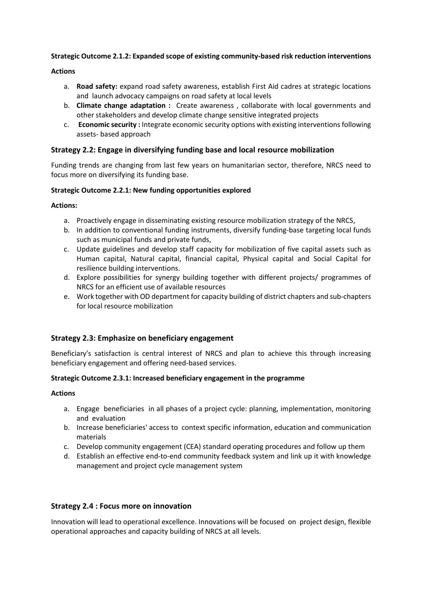#### **Strategic Outcome 2.1.2: Expanded scope of existing community-based risk reduction interventions**

#### **Actions**

- a. **Road safety:** expand road safety awareness, establish First Aid cadres at strategic locations and launch advocacy campaigns on road safety at local levels
- b. **Climate change adaptation :** Create awareness , collaborate with local governments and other stakeholders and develop climate change sensitive integrated projects
- c. **Economic security :** Integrate economic security options with existing interventions following assets- based approach

#### <span id="page-11-0"></span>**Strategy 2.2: Engage in diversifying funding base and local resource mobilization**

Funding trends are changing from last few years on humanitarian sector, therefore, NRCS need to focus more on diversifying its funding base.

#### **Strategic Outcome 2.2.1: New funding opportunities explored**

#### **Actions:**

- a. Proactively engage in disseminating existing resource mobilization strategy of the NRCS,
- b. In addition to conventional funding instruments, diversify funding-base targeting local funds such as municipal funds and private funds,
- c. Update guidelines and develop staff capacity for mobilization of five capital assets such as Human capital, Natural capital, financial capital, Physical capital and Social Capital for resilience building interventions.
- d. Explore possibilities for synergy building together with different projects/ programmes of NRCS for an efficient use of available resources
- e. Work together with OD department for capacity building of district chapters and sub-chapters for local resource mobilization

#### <span id="page-11-1"></span>**Strategy 2.3: Emphasize on beneficiary engagement**

Beneficiary's satisfaction is central interest of NRCS and plan to achieve this through increasing beneficiary engagement and offering need-based services.

#### **Strategic Outcome 2.3.1: Increased beneficiary engagement in the programme**

#### **Actions**

- a. Engage beneficiaries in all phases of a project cycle: planning, implementation, monitoring and evaluation
- b. Increase beneficiaries' access to context specific information, education and communication materials
- c. Develop community engagement (CEA) standard operating procedures and follow up them
- d. Establish an effective end-to-end community feedback system and link up it with knowledge management and project cycle management system

#### <span id="page-11-2"></span>**Strategy 2.4 : Focus more on innovation**

Innovation will lead to operational excellence. Innovations will be focused on project design, flexible operational approaches and capacity building of NRCS at all levels.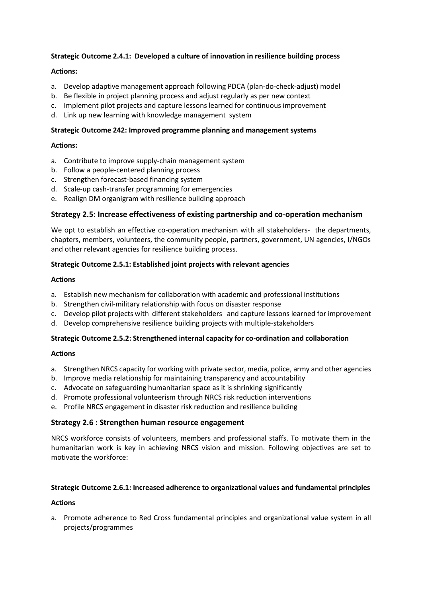#### **Strategic Outcome 2.4.1: Developed a culture of innovation in resilience building process**

#### **Actions:**

- a. Develop adaptive management approach following PDCA (plan-do-check-adjust) model
- b. Be flexible in project planning process and adjust regularly as per new context
- c. Implement pilot projects and capture lessons learned for continuous improvement
- d. Link up new learning with knowledge management system

#### **Strategic Outcome 242: Improved programme planning and management systems**

#### **Actions:**

- a. Contribute to improve supply-chain management system
- b. Follow a people-centered planning process
- c. Strengthen forecast-based financing system
- d. Scale-up cash-transfer programming for emergencies
- e. Realign DM organigram with resilience building approach

#### <span id="page-12-0"></span>**Strategy 2.5: Increase effectiveness of existing partnership and co-operation mechanism**

We opt to establish an effective co-operation mechanism with all stakeholders- the departments, chapters, members, volunteers, the community people, partners, government, UN agencies, I/NGOs and other relevant agencies for resilience building process.

#### **Strategic Outcome 2.5.1: Established joint projects with relevant agencies**

#### **Actions**

- a. Establish new mechanism for collaboration with academic and professional institutions
- b. Strengthen civil-military relationship with focus on disaster response
- c. Develop pilot projects with different stakeholders and capture lessons learned for improvement
- d. Develop comprehensive resilience building projects with multiple-stakeholders

#### **Strategic Outcome 2.5.2: Strengthened internal capacity for co-ordination and collaboration**

#### **Actions**

- a. Strengthen NRCS capacity for working with private sector, media, police, army and other agencies
- b. Improve media relationship for maintaining transparency and accountability
- c. Advocate on safeguarding humanitarian space as it is shrinking significantly
- d. Promote professional volunteerism through NRCS risk reduction interventions
- e. Profile NRCS engagement in disaster risk reduction and resilience building

#### <span id="page-12-1"></span>**Strategy 2.6 : Strengthen human resource engagement**

NRCS workforce consists of volunteers, members and professional staffs. To motivate them in the humanitarian work is key in achieving NRCS vision and mission. Following objectives are set to motivate the workforce:

#### **Strategic Outcome 2.6.1: Increased adherence to organizational values and fundamental principles**

#### **Actions**

a. Promote adherence to Red Cross fundamental principles and organizational value system in all projects/programmes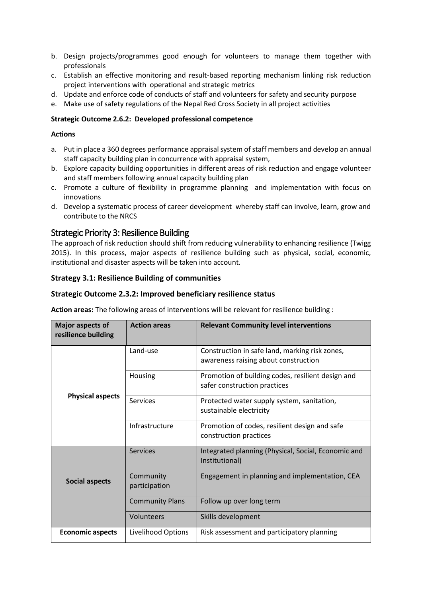- b. Design projects/programmes good enough for volunteers to manage them together with professionals
- c. Establish an effective monitoring and result-based reporting mechanism linking risk reduction project interventions with operational and strategic metrics
- d. Update and enforce code of conducts of staff and volunteers for safety and security purpose
- e. Make use of safety regulations of the Nepal Red Cross Society in all project activities

#### **Strategic Outcome 2.6.2: Developed professional competence**

#### **Actions**

- a. Put in place a 360 degrees performance appraisal system of staff members and develop an annual staff capacity building plan in concurrence with appraisal system,
- b. Explore capacity building opportunities in different areas of risk reduction and engage volunteer and staff members following annual capacity building plan
- c. Promote a culture of flexibility in programme planning and implementation with focus on innovations
- d. Develop a systematic process of career development whereby staff can involve, learn, grow and contribute to the NRCS

## <span id="page-13-0"></span>Strategic Priority 3: Resilience Building

The approach of risk reduction should shift from reducing vulnerability to enhancing resilience (Twigg 2015). In this process, major aspects of resilience building such as physical, social, economic, institutional and disaster aspects will be taken into account.

#### <span id="page-13-1"></span>**Strategy 3.1: Resilience Building of communities**

#### **Strategic Outcome 2.3.2: Improved beneficiary resilience status**

**Action areas:** The following areas of interventions will be relevant for resilience building :

| <b>Major aspects of</b><br>resilience building | <b>Action areas</b>        | <b>Relevant Community level interventions</b>                                          |
|------------------------------------------------|----------------------------|----------------------------------------------------------------------------------------|
|                                                | Land-use                   | Construction in safe land, marking risk zones,<br>awareness raising about construction |
| <b>Physical aspects</b>                        | Housing                    | Promotion of building codes, resilient design and<br>safer construction practices      |
|                                                | <b>Services</b>            | Protected water supply system, sanitation,<br>sustainable electricity                  |
|                                                | Infrastructure             | Promotion of codes, resilient design and safe<br>construction practices                |
|                                                | <b>Services</b>            | Integrated planning (Physical, Social, Economic and<br>Institutional)                  |
| <b>Social aspects</b>                          | Community<br>participation | Engagement in planning and implementation, CEA                                         |
|                                                | <b>Community Plans</b>     | Follow up over long term                                                               |
|                                                | Volunteers                 | Skills development                                                                     |
| <b>Economic aspects</b>                        | Livelihood Options         | Risk assessment and participatory planning                                             |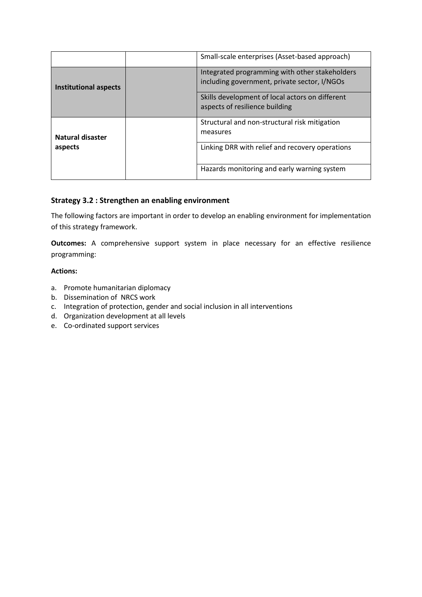|                              | Small-scale enterprises (Asset-based approach)                                                 |
|------------------------------|------------------------------------------------------------------------------------------------|
| <b>Institutional aspects</b> | Integrated programming with other stakeholders<br>including government, private sector, I/NGOs |
|                              | Skills development of local actors on different<br>aspects of resilience building              |
| Natural disaster             | Structural and non-structural risk mitigation<br>measures                                      |
| aspects                      | Linking DRR with relief and recovery operations                                                |
|                              | Hazards monitoring and early warning system                                                    |

## <span id="page-14-0"></span>**Strategy 3.2 : Strengthen an enabling environment**

The following factors are important in order to develop an enabling environment for implementation of this strategy framework.

**Outcomes:** A comprehensive support system in place necessary for an effective resilience programming:

#### **Actions:**

- a. Promote humanitarian diplomacy
- b. Dissemination of NRCS work
- c. Integration of protection, gender and social inclusion in all interventions
- d. Organization development at all levels
- e. Co-ordinated support services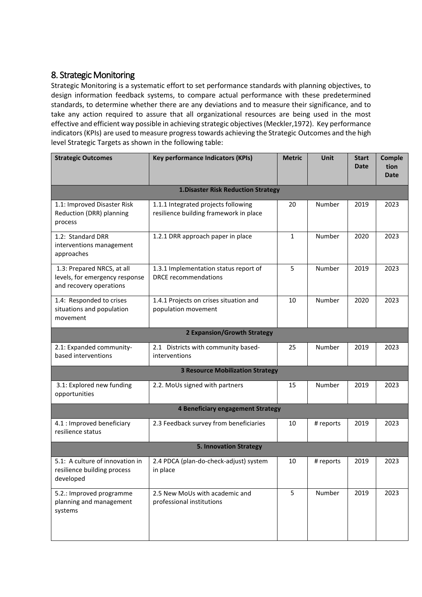# <span id="page-15-0"></span>8. Strategic Monitoring

Strategic Monitoring is a systematic effort to set performance standards with planning objectives, to design information feedback systems, to compare actual performance with these predetermined standards, to determine whether there are any deviations and to measure their significance, and to take any action required to assure that all organizational resources are being used in the most effective and efficient way possible in achieving strategic objectives (Meckler,1972). Key performance indicators (KPIs) are used to measure progress towards achieving the Strategic Outcomes and the high level Strategic Targets as shown in the following table:

| <b>Strategic Outcomes</b>                                                               | <b>Key performance Indicators (KPIs)</b>                                      | <b>Metric</b> | Unit      | <b>Start</b><br><b>Date</b> | Comple<br>tion<br><b>Date</b> |  |
|-----------------------------------------------------------------------------------------|-------------------------------------------------------------------------------|---------------|-----------|-----------------------------|-------------------------------|--|
|                                                                                         |                                                                               |               |           |                             |                               |  |
|                                                                                         | <b>1.Disaster Risk Reduction Strategy</b>                                     |               |           |                             |                               |  |
| 1.1: Improved Disaster Risk<br>Reduction (DRR) planning<br>process                      | 1.1.1 Integrated projects following<br>resilience building framework in place | 20            | Number    | 2019                        | 2023                          |  |
| 1.2: Standard DRR<br>interventions management<br>approaches                             | 1.2.1 DRR approach paper in place                                             | $\mathbf{1}$  | Number    | 2020                        | 2023                          |  |
| 1.3: Prepared NRCS, at all<br>levels, for emergency response<br>and recovery operations | 1.3.1 Implementation status report of<br><b>DRCE</b> recommendations          | 5             | Number    | 2019                        | 2023                          |  |
| 1.4: Responded to crises<br>situations and population<br>movement                       | 1.4.1 Projects on crises situation and<br>population movement                 | 10            | Number    | 2020                        | 2023                          |  |
|                                                                                         | <b>2 Expansion/Growth Strategy</b>                                            |               |           |                             |                               |  |
| 2.1: Expanded community-<br>based interventions                                         | 2.1 Districts with community based-<br>interventions                          | 25            | Number    | 2019                        | 2023                          |  |
| <b>3 Resource Mobilization Strategy</b>                                                 |                                                                               |               |           |                             |                               |  |
| 3.1: Explored new funding<br>opportunities                                              | 2.2. MoUs signed with partners                                                | 15            | Number    | 2019                        | 2023                          |  |
| 4 Beneficiary engagement Strategy                                                       |                                                                               |               |           |                             |                               |  |
| 4.1 : Improved beneficiary<br>resilience status                                         | 2.3 Feedback survey from beneficiaries                                        | 10            | # reports | 2019                        | 2023                          |  |
| <b>5. Innovation Strategy</b>                                                           |                                                                               |               |           |                             |                               |  |
| 5.1: A culture of innovation in<br>resilience building process<br>developed             | 2.4 PDCA (plan-do-check-adjust) system<br>in place                            | 10            | # reports | 2019                        | 2023                          |  |
| 5.2.: Improved programme<br>planning and management<br>systems                          | 2.5 New MoUs with academic and<br>professional institutions                   | 5             | Number    | 2019                        | 2023                          |  |